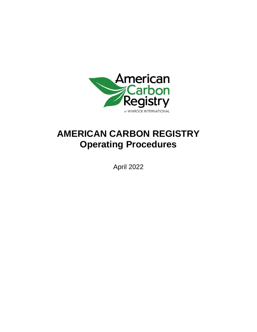

# **AMERICAN CARBON REGISTRY Operating Procedures**

April 2022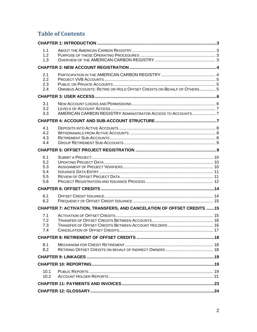# **Table of Contents**

| 1.1<br>1.2<br>1.3                                                      |                                                                       |  |  |  |  |  |
|------------------------------------------------------------------------|-----------------------------------------------------------------------|--|--|--|--|--|
|                                                                        |                                                                       |  |  |  |  |  |
| 2.1<br>2.2<br>2.3<br>2.4                                               | OMNIBUS ACCOUNTS: RETIRE OR HOLD OFFSET CREDITS ON BEHALF OF OTHERS 5 |  |  |  |  |  |
|                                                                        |                                                                       |  |  |  |  |  |
| 3.1<br>3.2<br>3.3                                                      | AMERICAN CARBON REGISTRY ADMINISTRATOR ACCESS TO ACCOUNTS7            |  |  |  |  |  |
|                                                                        |                                                                       |  |  |  |  |  |
| 4.1<br>4.2<br>4.3<br>4.4                                               |                                                                       |  |  |  |  |  |
|                                                                        |                                                                       |  |  |  |  |  |
| 5.1<br>5.2<br>5.3<br>5.4<br>5.5<br>5.6                                 |                                                                       |  |  |  |  |  |
|                                                                        |                                                                       |  |  |  |  |  |
| 6.1<br>6.2                                                             |                                                                       |  |  |  |  |  |
| CHAPTER 7: ACTIVATION, TRANSFERS, AND CANCELATION OF OFFSET CREDITS 15 |                                                                       |  |  |  |  |  |
| 7.1<br>7.2<br>7.3<br>$\sqrt{.4}$                                       |                                                                       |  |  |  |  |  |
|                                                                        |                                                                       |  |  |  |  |  |
| 8.1<br>8.2                                                             |                                                                       |  |  |  |  |  |
|                                                                        |                                                                       |  |  |  |  |  |
|                                                                        |                                                                       |  |  |  |  |  |
| 10.1<br>10.2                                                           |                                                                       |  |  |  |  |  |
|                                                                        |                                                                       |  |  |  |  |  |
|                                                                        |                                                                       |  |  |  |  |  |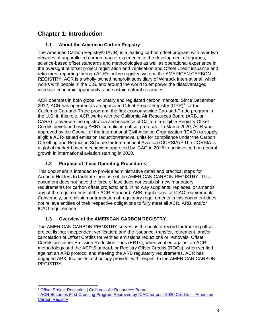# <span id="page-2-0"></span>**Chapter 1: Introduction**

### **1.1 About the American Carbon Registry**

<span id="page-2-1"></span>The American Carbon Registry® (ACR) is a leading carbon offset program with over two decades of unparalleled carbon market experience in the development of rigorous, science-based offset standards and methodologies as well as operational experience in the oversight of offset project registration and verification and Offset Credit issuance and retirement reporting through ACR's online registry system, the AMERICAN CARBON REGISTRY. ACR is a wholly owned nonprofit subsidiary of Winrock International, which works with people in the U.S. and around the world to empower the disadvantaged, increase economic opportunity, and sustain natural resources.

ACR operates in both global voluntary and regulated carbon markets. Since December 2012, ACR has operated as an approved Offset Project Registry (OPR) $1$  for the California Cap-and-Trade program, the first economy-wide Cap-and-Trade program in the U.S. In this role, ACR works with the California Air Resources Board (ARB, or CARB) to oversee the registration and issuance of California-eligible Registry Offset Credits developed using ARB's compliance offset protocols. In March 2020, ACR was approved by the Council of the International Civil Aviation Organization (ICAO) to supply eligible ACR-issued emission reduction/removal units for compliance under the Carbon Offsetting and Reduction Scheme for International Aviation (CORSIA).<sup>2</sup> The CORSIA is a global market-based mechanism approved by ICAO in 2016 to achieve carbon neutral growth in international aviation starting in 2020.

### <span id="page-2-2"></span>**1.2 Purpose of these Operating Procedures**

This document is intended to provide administrative detail and practical steps for Account Holders to facilitate their use of the AMERICAN CARBON REGISTRY. This document does not have the force of law; does not establish new mandatory requirements for carbon offset projects; and, in no way supplants, replaces, or amends any of the requirements of the ACR Standard, ARB regulations, or ICAO requirements. Conversely, an omission or truncation of regulatory requirements in this document does not relieve entities of their respective obligations to fully meet all ACR, ARB, and/or ICAO requirements.

### <span id="page-2-3"></span>**1.3 Overview of the AMERICAN CARBON REGISTRY**

The AMERICAN CARBON REGISTRY serves as the book of record for tracking offset project listing; independent verification; and the issuance, transfer, retirement, and/or cancelation of Offset Credits for verified emissions reductions or removals. Offset Credits are either Emission Reduction Tons (ERTs), when verified against an ACR methodology and the ACR Standard, or Registry Offset Credits (ROCs), when verified against an ARB protocol and meeting the ARB regulatory requirements. ACR has engaged APX, Inc. as its technology provider with respect to the AMERICAN CARBON REGISTRY.

<sup>1</sup> [Offset Project Registries | California Air Resources Board](https://ww2.arb.ca.gov/our-work/programs/compliance-offset-program/offset-project-registries)

<sup>2</sup> [ACR Becomes First Crediting Program Approved by ICAO for post-2020 Credits —](https://americancarbonregistry.org/news-events/news/acr-becomes-first-crediting-program-approved-by-icao-for-post-2020-credits) American **[Carbon Registry](https://americancarbonregistry.org/news-events/news/acr-becomes-first-crediting-program-approved-by-icao-for-post-2020-credits)**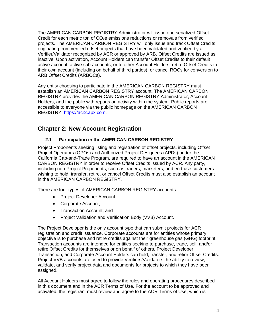The AMERICAN CARBON REGISTRY Administrator will issue one serialized Offset Credit for each metric ton of  $CO<sub>2</sub>e$  emissions reductions or removals from verified projects. The AMERICAN CARBON REGISTRY will only issue and track Offset Credits originating from verified offset projects that have been validated and verified by a Verifier/Validator recognized by ACR or approved by ARB. Offset Credits are issued as inactive. Upon activation, Account Holders can transfer Offset Credits to their default active account, active sub-accounts, or to other Account Holders; retire Offset Credits in their own account (including on behalf of third parties); or cancel ROCs for conversion to ARB Offset Credits (ARBOCs).

Any entity choosing to participate in the AMERICAN CARBON REGISTRY must establish an AMERICAN CARBON REGISTRY account. The AMERICAN CARBON REGISTRY provides the AMERICAN CARBON REGISTRY Administrator, Account Holders, and the public with reports on activity within the system. Public reports are accessible to everyone via the public homepage on the AMERICAN CARBON REGISTRY: [https://acr2.apx.com.](https://acr2.apx.com/)

# <span id="page-3-0"></span>**Chapter 2: New Account Registration**

#### **2.1 Participation in the AMERICAN CARBON REGISTRY**

<span id="page-3-1"></span>Project Proponents seeking listing and registration of offset projects, including Offset Project Operators (OPOs) and Authorized Project Designees (APDs) under the California Cap-and-Trade Program, are required to have an account in the AMERICAN CARBON REGISTRY in order to receive Offset Credits issued by ACR. Any party, including non-Project Proponents, such as traders, marketers, and end-use customers wishing to hold, transfer, retire, or cancel Offset Credits must also establish an account in the AMERICAN CARBON REGISTRY.

There are four types of AMERICAN CARBON REGISTRY accounts:

- Project Developer Account;
- Corporate Account;
- Transaction Account; and
- Project Validation and Verification Body (VVB) Account.

The Project Developer is the only account type that can submit projects for ACR registration and credit issuance. Corporate accounts are for entities whose primary objective is to purchase and retire credits against their greenhouse gas (GHG) footprint. Transaction accounts are intended for entities seeking to purchase, trade, sell, and/or retire Offset Credits for themselves or on behalf of others. Project Developer, Transaction, and Corporate Account Holders can hold, transfer, and retire Offset Credits. Project VVB accounts are used to provide Verifiers/Validators the ability to review, validate, and verify project data and documents for projects to which they have been assigned.

All Account Holders must agree to follow the rules and operating procedures described in this document and in the ACR Terms of Use. For the account to be approved and activated, the registrant must review and agree to the ACR Terms of Use, which is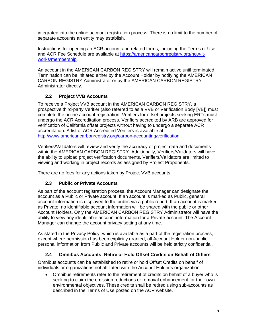integrated into the online account registration process. There is no limit to the number of separate accounts an entity may establish.

Instructions for opening an ACR account and related forms, including the Terms of Use and ACR Fee Schedule are available at [https://americancarbonregistry.org/how-it](https://americancarbonregistry.org/how-it-works/membership)[works/membership.](https://americancarbonregistry.org/how-it-works/membership)

An account in the AMERICAN CARBON REGISTRY will remain active until terminated. Termination can be initiated either by the Account Holder by notifying the AMERICAN CARBON REGISTRY Administrator or by the AMERICAN CARBON REGISTRY Administrator directly.

#### <span id="page-4-0"></span>**2.2 Project VVB Accounts**

To receive a Project VVB account in the AMERICAN CARBON REGISTRY, a prospective third-party Verifier (also referred to as a VVB or Verification Body [VB]) must complete the online account registration. Verifiers for offset projects seeking ERTs must undergo the ACR Accreditation process. Verifiers accredited by ARB are approved for verification of California offset projects without having to undergo a separate ACR accreditation. A list of ACR Accredited Verifiers is available at [http://www.americancarbonregistry.org/carbon-accounting/verification.](http://www.americancarbonregistry.org/carbon-accounting/verification)

Verifiers/Validators will review and verify the accuracy of project data and documents within the AMERICAN CARBON REGISTRY. Additionally, Verifiers/Validators will have the ability to upload project verification documents. Verifiers/Validators are limited to viewing and working in project records as assigned by Project Proponents.

<span id="page-4-1"></span>There are no fees for any actions taken by Project VVB accounts.

#### **2.3 Public or Private Accounts**

As part of the account registration process, the Account Manager can designate the account as a Public or Private account. If an account is marked as Public, general account information is displayed to the public via a public report. If an account is marked as Private, no identifiable account information will be shared with the public or other Account Holders. Only the AMERICAN CARBON REGISTRY Administrator will have the ability to view any identifiable account information for a Private account. The Account Manager can change the account privacy setting at any time.

As stated in the Privacy Policy, which is available as a part of the registration process, except where permission has been explicitly granted, all Account Holder non-public personal information from Public and Private accounts will be held strictly confidential.

#### <span id="page-4-2"></span>**2.4 Omnibus Accounts: Retire or Hold Offset Credits on Behalf of Others**

Omnibus accounts can be established to retire or hold Offset Credits on behalf of individuals or organizations not affiliated with the Account Holder's organization.

• Omnibus retirements refer to the retirement of credits on behalf of a buyer who is seeking to claim the emission reductions or removal enhancement for their own environmental objectives. These credits shall be retired using sub-accounts as described in the Terms of Use posted on the ACR website.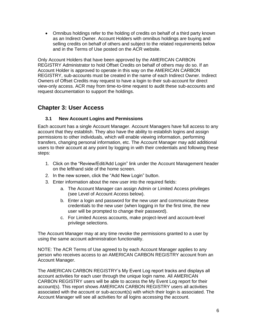• Omnibus holdings refer to the holding of credits on behalf of a third party known as an Indirect Owner. Account Holders with omnibus holdings are buying and selling credits on behalf of others and subject to the related requirements below and in the Terms of Use posted on the ACR website.

Only Account Holders that have been approved by the AMERICAN CARBON REGISTRY Administrator to hold Offset Credits on behalf of others may do so. If an Account Holder is approved to operate in this way on the AMERICAN CARBON REGISTRY, sub-accounts must be created in the name of each Indirect Owner. Indirect Owners of Offset Credits may request to have a login to their sub-account for direct view-only access. ACR may from time-to-time request to audit these sub-accounts and request documentation to support the holdings.

### <span id="page-5-0"></span>**Chapter 3: User Access**

#### **3.1 New Account Logins and Permissions**

<span id="page-5-1"></span>Each account has a single Account Manager. Account Managers have full access to any account that they establish. They also have the ability to establish logins and assign permissions to other individuals, which will enable viewing information, performing transfers, changing personal information, etc. The Account Manager may add additional users to their account at any point by logging in with their credentials and following these steps:

- 1. Click on the "Review/Edit/Add Login" link under the Account Management header on the lefthand side of the home screen.
- 2. In the new screen, click the "Add New Login" button.
- 3. Enter information about the new user into the required fields:
	- a. The Account Manager can assign Admin or Limited Access privileges (see Level of Account Access below).
	- b. Enter a login and password for the new user and communicate these credentials to the new user (when logging in for the first time, the new user will be prompted to change their password).
	- c. For Limited Access accounts, make project-level and account-level privilege selections.

The Account Manager may at any time revoke the permissions granted to a user by using the same account administration functionality.

NOTE: The ACR Terms of Use agreed to by each Account Manager applies to any person who receives access to an AMERICAN CARBON REGISTRY account from an Account Manager.

The AMERICAN CARBON REGISTRY's My Event Log report tracks and displays all account activities for each user through the unique login name. All AMERICAN CARBON REGISTRY users will be able to access the My Event Log report for their account(s). This report shows AMERICAN CARBON REGISTRY users all activities associated with the account or sub-account(s) with which their login is associated. The Account Manager will see all activities for all logins accessing the account.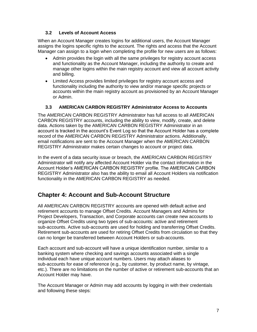#### **3.2 Levels of Account Access**

<span id="page-6-0"></span>When an Account Manager creates logins for additional users, the Account Manager assigns the logins specific rights to the account. The rights and access that the Account Manager can assign to a login when completing the profile for new users are as follows:

- Admin provides the login with all the same privileges for registry account access and functionality as the Account Manager, including the authority to create and manage other logins within the main registry account and view all account activity and billing.
- Limited Access provides limited privileges for registry account access and functionality including the authority to view and/or manage specific projects or accounts within the main registry account as provisioned by an Account Manager or Admin.

#### <span id="page-6-1"></span>**3.3 AMERICAN CARBON REGISTRY Administrator Access to Accounts**

The AMERICAN CARBON REGISTRY Administrator has full access to all AMERICAN CARBON REGISTRY accounts, including the ability to view, modify, create, and delete data. Actions taken by the AMERICAN CARBON REGISTRY Administrator in an account is tracked in the account's Event Log so that the Account Holder has a complete record of the AMERICAN CARBON REGISTRY Administrator actions. Additionally, email notifications are sent to the Account Manager when the AMERICAN CARBON REGISTRY Administrator makes certain changes to account or project data.

In the event of a data security issue or breach, the AMERICAN CARBON REGISTRY Administrator will notify any affected Account Holder via the contact information in the Account Holder's AMERICAN CARBON REGISTRY profile. The AMERICAN CARBON REGISTRY Administrator also has the ability to email all Account Holders via notification functionality in the AMERICAN CARBON REGISTRY as needed.

### <span id="page-6-2"></span>**Chapter 4: Account and Sub-Account Structure**

All AMERICAN CARBON REGISTRY accounts are opened with default active and retirement accounts to manage Offset Credits. Account Managers and Admins for Project Developers, Transaction, and Corporate accounts can create new accounts to organize Offset Credits using two types of sub-accounts: active and retirement sub-accounts. Active sub-accounts are used for holding and transferring Offset Credits. Retirement sub-accounts are used for retiring Offset Credits from circulation so that they can no longer be transferred between Account Holders or sub-accounts.

Each account and sub-account will have a unique identification number, similar to a banking system where checking and savings accounts associated with a single individual each have unique account numbers. Users may attach aliases to sub-accounts for ease of reference (e.g., by customer, by product name, by vintage, etc.). There are no limitations on the number of active or retirement sub-accounts that an Account Holder may have.

The Account Manager or Admin may add accounts by logging in with their credentials and following these steps: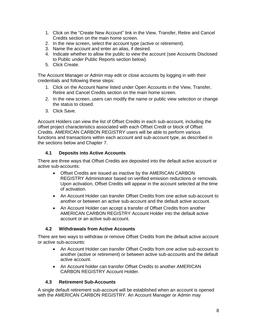- 1. Click on the "Create New Account" link in the View, Transfer, Retire and Cancel Credits section on the main home screen.
- 2. In the new screen, select the account type (active or retirement).
- 3. Name the account and enter an alias, if desired.
- 4. Indicate whether to allow the public to view the account (see Accounts Disclosed to Public under Public Reports section below).
- 5. Click Create.

The Account Manager or Admin may edit or close accounts by logging in with their credentials and following these steps:

- 1. Click on the Account Name listed under Open Accounts in the View, Transfer, Retire and Cancel Credits section on the main home screen.
- 2. In the new screen, users can modify the name or public view selection or change the status to closed.
- 3. Click Save.

Account Holders can view the list of Offset Credits in each sub-account, including the offset project characteristics associated with each Offset Credit or block of Offset Credits. AMERICAN CARBON REGISTRY users will be able to perform various functions and transactions within each account and sub-account type, as described in the sections below and Chapter 7.

#### <span id="page-7-0"></span>**4.1 Deposits into Active Accounts**

There are three ways that Offset Credits are deposited into the default active account or active sub-accounts:

- Offset Credits are issued as inactive by the AMERICAN CARBON REGISTRY Administrator based on verified emission reductions or removals. Upon activation, Offset Credits will appear in the account selected at the time of activation.
- An Account Holder can transfer Offset Credits from one active sub-account to another or between an active sub-account and the default active account.
- An Account Holder can accept a transfer of Offset Credits from another AMERICAN CARBON REGISTRY Account Holder into the default active account or an active sub-account.

#### <span id="page-7-1"></span>**4.2 Withdrawals from Active Accounts**

There are two ways to withdraw or remove Offset Credits from the default active account or active sub-accounts:

- An Account Holder can transfer Offset Credits from one active sub-account to another (active or retirement) or between active sub-accounts and the default active account.
- An Account holder can transfer Offset Credits to another AMERICAN CARBON REGISTRY Account Holder.

#### <span id="page-7-2"></span>**4.3 Retirement Sub-Accounts**

A single default retirement sub-account will be established when an account is opened with the AMERICAN CARBON REGISTRY. An Account Manager or Admin may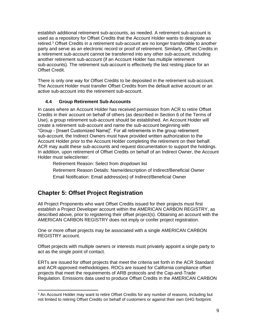establish additional retirement sub-accounts, as needed. A retirement sub-account is used as a repository for Offset Credits that the Account Holder wants to designate as retired.<sup>3</sup> Offset Credits in a retirement sub-account are no longer transferable to another party and serve as an electronic record or proof of retirement. Similarly, Offset Credits in a retirement sub-account cannot be transferred into any other sub-account, including another retirement sub-account (if an Account Holder has multiple retirement sub-accounts). The retirement sub-account is effectively the last resting place for an Offset Credit.

There is only one way for Offset Credits to be deposited in the retirement sub-account. The Account Holder must transfer Offset Credits from the default active account or an active sub-account into the retirement sub-account.

#### <span id="page-8-0"></span>**4.4 Group Retirement Sub-Accounts**

In cases where an Account Holder has received permission from ACR to retire Offset Credits in their account on behalf of others (as described in Section 6 of the Terms of Use), a group retirement sub-account should be established. An Account Holder will create a retirement sub-account and name the sub-account beginning with "Group - [Insert Customized Name]". For all retirements in the group retirement sub-account, the Indirect Owners must have provided written authorization to the Account Holder prior to the Account Holder completing the retirement on their behalf. ACR may audit these sub-accounts and request documentation to support the holdings. In addition, upon retirement of Offset Credits on behalf of an Indirect Owner, the Account Holder must select/enter:

Retirement Reason: Select from dropdown list Retirement Reason Details: Name/description of Indirect/Beneficial Owner Email Notification: Email address(es) of Indirect/Beneficial Owner

# <span id="page-8-1"></span>**Chapter 5: Offset Project Registration**

All Project Proponents who want Offset Credits issued for their projects must first establish a Project Developer account within the AMERICAN CARBON REGISTRY, as described above, prior to registering their offset project(s). Obtaining an account with the AMERICAN CARBON REGISTRY does not imply or confer project registration.

One or more offset projects may be associated with a single AMERICAN CARBON REGISTRY account.

Offset projects with multiple owners or interests must privately appoint a single party to act as the single point of contact.

ERTs are issued for offset projects that meet the criteria set forth in the ACR Standard and ACR-approved methodologies. ROCs are issued for California compliance offset projects that meet the requirements of ARB protocols and the Cap-and-Trade Regulation. Emissions data used to produce Offset Credits in the AMERICAN CARBON

<sup>&</sup>lt;sup>3</sup> An Account Holder may want to retire Offset Credits for any number of reasons, including but not limited to retiring Offset Credits on behalf of customers or against their own GHG footprint.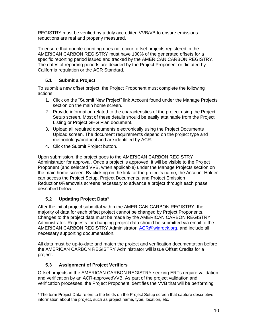REGISTRY must be verified by a duly accredited VVB/VB to ensure emissions reductions are real and properly measured.

To ensure that double-counting does not occur, offset projects registered in the AMERICAN CARBON REGISTRY must have 100% of the generated offsets for a specific reporting period issued and tracked by the AMERICAN CARBON REGISTRY. The dates of reporting periods are decided by the Project Proponent or dictated by California regulation or the ACR Standard.

#### <span id="page-9-0"></span>**5.1 Submit a Project**

To submit a new offset project, the Project Proponent must complete the following actions:

- 1. Click on the "Submit New Project" link Account found under the Manage Projects section on the main home screen.
- 2. Provide information related to the characteristics of the project using the Project Setup screen. Most of these details should be easily attainable from the Project Listing or Project GHG Plan document.
- 3. Upload all required documents electronically using the Project Documents Upload screen. The document requirements depend on the project type and methodology/protocol and are identified by ACR.
- 4. Click the Submit Project button.

Upon submission, the project goes to the AMERICAN CARBON REGISTRY Administrator for approval. Once a project is approved, it will be visible to the Project Proponent (and selected VVB, when applicable) under the Manage Projects section on the main home screen. By clicking on the link for the project's name, the Account Holder can access the Project Setup, Project Documents, and Project Emission Reductions/Removals screens necessary to advance a project through each phase described below.

#### <span id="page-9-1"></span>**5.2 Updating Project Data<sup>4</sup>**

After the initial project submittal within the AMERICAN CARBON REGISTRY, the majority of data for each offset project cannot be changed by Project Proponents. Changes to the project data must be made by the AMERICAN CARBON REGISTRY Administrator. Requests for changing project data should be submitted via email to the AMERICAN CARBON REGISTRY Administrator, ACR @winrock.org, and include all necessary supporting documentation.

All data must be up-to-date and match the project and verification documentation before the AMERICAN CARBON REGISTRY Administrator will issue Offset Credits for a project.

#### <span id="page-9-2"></span>**5.3 Assignment of Project Verifiers**

Offset projects in the AMERICAN CARBON REGISTRY seeking ERTs require validation and verification by an ACR-approvedVVB. As part of the project validation and verification processes, the Project Proponent identifies the VVB that will be performing

<sup>4</sup> The term Project Data refers to the fields on the Project Setup screen that capture descriptive information about the project, such as project name, type, location, etc.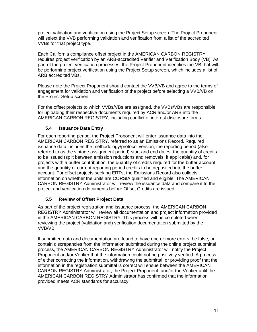project validation and verification using the Project Setup screen. The Project Proponent will select the VVB performing validation and verification from a list of the accredited VVBs for that project type.

Each California compliance offset project in the AMERICAN CARBON REGISTRY requires project verification by an ARB-accredited Verifier and Verification Body (VB). As part of the project verification processes, the Project Proponent identifies the VB that will be performing project verification using the Project Setup screen, which includes a list of ARB accredited VBs.

Please note the Project Proponent should contact the VVB/VB and agree to the terms of engagement for validation and verification of the project before selecting a VVB/VB on the Project Setup screen.

For the offset projects to which VVBs/VBs are assigned, the VVBs/VBs are responsible for uploading their respective documents required by ACR and/or ARB into the AMERICAN CARBON REGISTRY, including conflict of interest disclosure forms.

#### <span id="page-10-0"></span>**5.4 Issuance Data Entry**

For each reporting period, the Project Proponent will enter issuance data into the AMERICAN CARBON REGISTRY, referred to as an Emissions Record. Required issuance data includes the methodology/protocol version, the reporting period (also referred to as the vintage assignment period) start and end dates, the quantity of credits to be issued (split between emission reductions and removals, if applicable) and, for projects with a buffer contribution, the quantity of credits required for the buffer account and the quantity of current reporting period credits to be deposited into the buffer account. For offset projects seeking ERTs, the Emissions Record also collects information on whether the units are CORSIA qualified and eligible. The AMERICAN CARBON REGISTRY Administrator will review the issuance data and compare it to the project and verification documents before Offset Credits are issued.

#### <span id="page-10-1"></span>**5.5 Review of Offset Project Data**

As part of the project registration and issuance process, the AMERICAN CARBON REGISTRY Administrator will review all documentation and project information provided in the AMERICAN CARBON REGISTRY. This process will be completed when reviewing the project (validation and) verification documentation submitted by the VVB/VB.

If submitted data and documentation are found to have one or more errors, be false, or contain discrepancies from the information submitted during the online project submittal process, the AMERICAN CARBON REGISTRY Administrator will notify the Project Proponent and/or Verifier that the information could not be positively verified. A process of either correcting the information, withdrawing the submittal, or providing proof that the information in the registration submittal is correct will ensue between the AMERICAN CARBON REGISTRY Administrator, the Project Proponent, and/or the Verifier until the AMERICAN CARBON REGISTRY Administrator has confirmed that the information provided meets ACR standards for accuracy.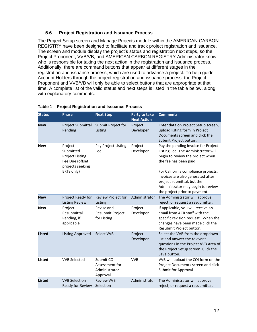#### **5.6 Project Registration and Issuance Process**

<span id="page-11-0"></span>The Project Setup screen and Manage Projects module within the AMERICAN CARBON REGISTRY have been designed to facilitate and track project registration and issuance. The screen and module display the project's status and registration next steps, so the Project Proponent, VVB/VB, and AMERICAN CARBON REGISTRY Administrator know who is responsible for taking the next action in the registration and issuance process. Additionally, there are command buttons that appear at different stages in the registration and issuance process, which are used to advance a project. To help guide Account Holders through the project registration and issuance process, the Project Proponent and VVB/VB will only be able to select buttons that are appropriate at that time. A complete list of the valid status and next steps is listed in the table below, along with explanatory comments.

| <b>Status</b> | <b>Phase</b>                                                                                         | <b>Next Step</b>                                          | Party to take<br><b>Next Action</b> | <b>Comments</b>                                                                                                                                                                                                                                                                         |
|---------------|------------------------------------------------------------------------------------------------------|-----------------------------------------------------------|-------------------------------------|-----------------------------------------------------------------------------------------------------------------------------------------------------------------------------------------------------------------------------------------------------------------------------------------|
| <b>New</b>    | Project Submittal<br>Pending                                                                         | Submit Project for<br>Listing                             | Project<br>Developer                | Enter data on Project Setup screen,<br>upload listing form in Project<br>Documents screen and click the<br>Submit Project button.                                                                                                                                                       |
| <b>New</b>    | Project<br>Submitted-<br><b>Project Listing</b><br>Fee Due (offset<br>projects seeking<br>ERTs only) | Pay Project Listing<br>Fee                                | Project<br>Developer                | Pay the pending invoice for Project<br>Listing Fee. The Administrator will<br>begin to review the project when<br>the fee has been paid.<br>For California compliance projects,<br>invoices are also generated after<br>project submittal, but the<br>Administrator may begin to review |
| <b>New</b>    | Project Ready for<br><b>Listing Review</b>                                                           | Review Project for<br>Listing                             | Administrator                       | the project prior to payment.<br>The Administrator will approve,<br>reject, or request a resubmittal.                                                                                                                                                                                   |
| <b>New</b>    | Project<br>Revise and<br>Resubmittal<br>Resubmit Project<br>for Listing<br>Pending, if<br>applicable |                                                           | Project<br>Developer                | If applicable, you will receive an<br>email from ACR staff with the<br>specific revision request. When the<br>changes have been made click the<br>Resubmit Project button.                                                                                                              |
| <b>Listed</b> | Select VVB<br><b>Listing Approved</b>                                                                |                                                           | Project<br>Developer                | Select the VVB from the dropdown<br>list and answer the relevant<br>questions in the Project VVB Area of<br>the Project Setup screen. Click the<br>Save button.                                                                                                                         |
| <b>Listed</b> | <b>VVB Selected</b>                                                                                  | Submit COI<br>Assessment for<br>Administrator<br>Approval | <b>VVB</b>                          | VVB will upload the COI form on the<br>Project Documents screen and click<br>Submit for Approval                                                                                                                                                                                        |
| <b>Listed</b> | <b>VVB Selection</b><br>Ready for Review                                                             | <b>Review VVB</b><br>Selection                            | Administrator                       | The Administrator will approve,<br>reject, or request a resubmittal.                                                                                                                                                                                                                    |

#### **Table 1 – Project Registration and Issuance Process**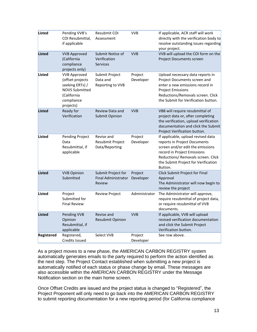| Listed        | Pending VVB's<br>COI Resubmittal,<br>if applicable                                                                            | Resubmit COI<br>Assessment                       | <b>VVB</b>           | If applicable, ACR staff will work<br>directly with the verification body to<br>resolve outstanding issues regarding<br>your project.                                                                                         |
|---------------|-------------------------------------------------------------------------------------------------------------------------------|--------------------------------------------------|----------------------|-------------------------------------------------------------------------------------------------------------------------------------------------------------------------------------------------------------------------------|
| <b>Listed</b> | <b>VVB Approved</b><br>Submit Notice of<br>(California<br>Verification<br>compliance<br><b>Services</b><br>projects only)     |                                                  | <b>VVB</b>           | VVB will upload the COI form on the<br>Project Documents screen                                                                                                                                                               |
| Listed        | <b>VVB Approved</b><br>(offset projects<br>seeking ERTs) /<br><b>NOVS Submitted</b><br>(California<br>compliance<br>projects) | Submit Project<br>Data and<br>Reporting to VVB   | Project<br>Developer | Upload necessary data reports in<br>Project Documents screen and<br>enter a new emissions record in<br><b>Project Emissions</b><br>Reductions/Removals screen. Click<br>the Submit for Verification button.                   |
| <b>Listed</b> | Ready for<br>Verification                                                                                                     | Review Data and<br><b>Submit Opinion</b>         | <b>VVB</b>           | VBB will require resubmittal of<br>project data or, after completing<br>the verification, upload verification<br>documentation and click the Submit<br>Project Verification button.                                           |
| Listed        | <b>Pending Project</b><br>Data<br>Resubmittal, if<br>applicable                                                               | Revise and<br>Resubmit Project<br>Data/Reporting | Project<br>Developer | If applicable, upload revised data<br>reports in Project Documents<br>screen and/or edit the emissions<br>record in Project Emissions<br>Reductions/ Removals screen. Click<br>the Submit Project for Verification<br>Button. |
| <b>Listed</b> | <b>VVB Opinion</b><br>Submit Project for<br>Submitted<br><b>Final Administrator</b><br>Review                                 |                                                  | Project<br>Developer | Click Submit Project for Final<br>Approval<br>The Administrator will now begin to<br>review the project                                                                                                                       |
| Listed        | Project<br>Submitted for<br><b>Final Review</b>                                                                               | Review Project                                   | Administrator        | The Administrator will approve,<br>require resubmittal of project data,<br>or require resubmittal of VVB<br>documents.                                                                                                        |
| <b>Listed</b> | Pending VVB<br>Opinion<br>Resubmittal, if<br>applicable                                                                       | Revise and<br><b>Resubmit Opinion</b>            | <b>VVB</b>           | If applicable, VVB will upload<br>revised verification documentation<br>and click the Submit Project<br>Verification button.                                                                                                  |
| Registered    | Registered,<br>Credits Issued                                                                                                 | Select VVB                                       | Project<br>Developer | See row above.                                                                                                                                                                                                                |

As a project moves to a new phase, the AMERICAN CARBON REGISTRY system automatically generates emails to the party required to perform the action identified as the next step. The Project Contact established when submitting a new project is automatically notified of each status or phase change by email. These messages are also accessible within the AMERICAN CARBON REGISTRY under the Message Notification section on the main home screen.

Once Offset Credits are issued and the project status is changed to "Registered", the Project Proponent will only need to go back into the AMERICAN CARBON REGISTRY to submit reporting documentation for a new reporting period (for California compliance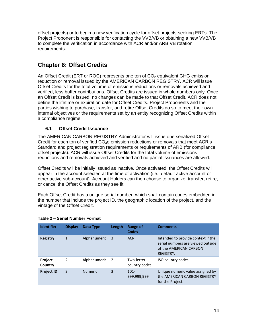offset projects) or to begin a new verification cycle for offset projects seeking ERTs. The Project Proponent is responsible for contacting the VVB/VB or obtaining a new VVB/VB to complete the verification in accordance with ACR and/or ARB VB rotation requirements.

# <span id="page-13-0"></span>**Chapter 6: Offset Credits**

An Offset Credit (ERT or ROC) represents one ton of  $CO<sub>2</sub>$  equivalent GHG emission reduction or removal issued by the AMERICAN CARBON REGISTRY. ACR will issue Offset Credits for the total volume of emissions reductions or removals achieved and verified, less buffer contributions. Offset Credits are issued in whole numbers only. Once an Offset Credit is issued, no changes can be made to that Offset Credit. ACR does not define the lifetime or expiration date for Offset Credits. Project Proponents and the parties wishing to purchase, transfer, and retire Offset Credits do so to meet their own internal objectives or the requirements set by an entity recognizing Offset Credits within a compliance regime.

#### <span id="page-13-1"></span>**6.1 Offset Credit Issuance**

The AMERICAN CARBON REGISTRY Administrator will issue one serialized Offset Credit for each ton of verified  $CO<sub>2</sub>e$  emission reductions or removals that meet ACR's Standard and project registration requirements or requirements of ARB (for compliance offset projects). ACR will issue Offset Credits for the total volume of emissions reductions and removals achieved and verified and no partial issuances are allowed.

Offset Credits will be initially issued as inactive. Once activated, the Offset Credits will appear in the account selected at the time of activation (i.e., default active account or other active sub-account). Account Holders can then choose to organize, transfer, retire, or cancel the Offset Credits as they see fit.

Each Offset Credit has a unique serial number, which shall contain codes embedded in the number that include the project ID, the geographic location of the project, and the vintage of the Offset Credit.

| <b>Identifier</b>  | <b>Display</b> | Data Type      | Length         | <b>Range of</b><br><b>Codes</b> | <b>Comments</b>                                                                                                |
|--------------------|----------------|----------------|----------------|---------------------------------|----------------------------------------------------------------------------------------------------------------|
| <b>Registry</b>    | $\mathbf 1$    | Alphanumeric   | -3             | <b>ACR</b>                      | Intended to provide context if the<br>serial numbers are viewed outside<br>of the AMERICAN CARBON<br>REGISTRY. |
| Project<br>Country | $\mathcal{P}$  | Alphanumeric   | $\overline{2}$ | Two-letter<br>country codes     | ISO country codes.                                                                                             |
| <b>Project ID</b>  | 3              | <b>Numeric</b> | 3              | $101 -$<br>999,999,999          | Unique numeric value assigned by<br>the AMERICAN CARBON REGISTRY<br>for the Project.                           |

#### **Table 2 – Serial Number Format**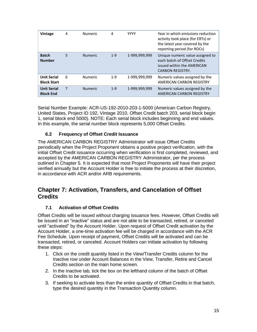| Vintage                                  | 4 | <b>Numeric</b> | 4       | <b>YYYY</b>   | Year in which emissions reduction<br>activity took place (for ERTs) or<br>the latest year covered by the<br>reporting period (for ROCs) |
|------------------------------------------|---|----------------|---------|---------------|-----------------------------------------------------------------------------------------------------------------------------------------|
| <b>Batch</b><br><b>Number</b>            | 5 | <b>Numeric</b> | $1 - 9$ | 1-999,999,999 | Unique numeric value assigned to<br>each batch of Offset Credits<br>issued within the AMFRICAN<br><b>CARBON REGISTRY.</b>               |
| <b>Unit Serial</b><br><b>Block Start</b> | 6 | <b>Numeric</b> | $1 - 9$ | 1-999,999,999 | Numeric values assigned by the<br>AMERICAN CARBON REGISTRY                                                                              |
| <b>Unit Serial</b><br><b>Block End</b>   | 7 | <b>Numeric</b> | $1 - 9$ | 1-999,999,999 | Numeric values assigned by the<br>AMERICAN CARBON REGISTRY                                                                              |

Serial Number Example: ACR-US-192-2010-203-1-5000 (American Carbon Registry, United States, Project ID 192, Vintage 2010, Offset Credit batch 203, serial block begin 1, serial block end 5000). NOTE: Each serial block includes beginning and end values. In this example, the serial number block represents 5,000 Offset Credits.

#### <span id="page-14-0"></span>**6.2 Frequency of Offset Credit Issuance**

The AMERICAN CARBON REGISTRY Administrator will issue Offset Credits periodically when the Project Proponent obtains a positive project verification, with the initial Offset Credit issuance occurring when verification is first completed, reviewed, and accepted by the AMERICAN CARBON REGISTRY Administrator, per the process outlined in Chapter 5. It is expected that most Project Proponents will have their project verified annually but the Account Holder is free to initiate the process at their discretion, in accordance with ACR and/or ARB requirements.

### <span id="page-14-1"></span>**Chapter 7: Activation, Transfers, and Cancelation of Offset Credits**

#### **7.1 Activation of Offset Credits**

<span id="page-14-2"></span>Offset Credits will be issued without charging issuance fees. However, Offset Credits will be issued in an "inactive" status and are not able to be transacted, retired, or canceled until "activated" by the Account Holder. Upon request of Offset Credit activation by the Account Holder, a one-time activation fee will be charged in accordance with the ACR Fee Schedule. Upon receipt of payment, Offset Credits will be activated and can be transacted, retired, or canceled. Account Holders can initiate activation by following these steps:

- 1. Click on the credit quantity listed in the View/Transfer Credits column for the Inactive row under Account Balances in the View, Transfer, Retire and Cancel Credits section on the main home screen.
- 2. In the Inactive tab, tick the box on the lefthand column of the batch of Offset Credits to be activated.
- 3. If seeking to activate less than the entire quantity of Offset Credits in that batch, type the desired quantity in the Transaction Quantity column.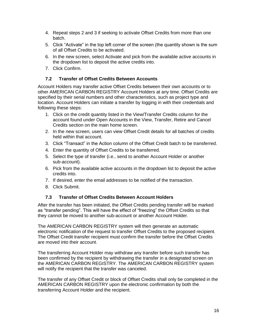- 4. Repeat steps 2 and 3 if seeking to activate Offset Credits from more than one batch.
- 5. Click "Activate" in the top left corner of the screen (the quantity shown is the sum of all Offset Credits to be activated.
- 6. In the new screen, select Activate and pick from the available active accounts in the dropdown list to deposit the active credits into.
- 7. Click Confirm.

#### <span id="page-15-0"></span>**7.2 Transfer of Offset Credits Between Accounts**

Account Holders may transfer active Offset Credits between their own accounts or to other AMERICAN CARBON REGISTRY Account Holders at any time. Offset Credits are specified by their serial numbers and other characteristics, such as project type and location. Account Holders can initiate a transfer by logging in with their credentials and following these steps:

- 1. Click on the credit quantity listed in the View/Transfer Credits column for the account found under Open Accounts in the View, Transfer, Retire and Cancel Credits section on the main home screen.
- 2. In the new screen, users can view Offset Credit details for all batches of credits held within that account.
- 3. Click "Transact" in the Action column of the Offset Credit batch to be transferred.
- 4. Enter the quantity of Offset Credits to be transferred.
- 5. Select the type of transfer (i.e., send to another Account Holder or another sub-account).
- 6. Pick from the available active accounts in the dropdown list to deposit the active credits into.
- 7. If desired, enter the email addresses to be notified of the transaction.
- 8. Click Submit.

#### <span id="page-15-1"></span>**7.3 Transfer of Offset Credits Between Account Holders**

After the transfer has been initiated, the Offset Credits pending transfer will be marked as "transfer pending". This will have the effect of "freezing" the Offset Credits so that they cannot be moved to another sub-account or another Account Holder.

The AMERICAN CARBON REGISTRY system will then generate an automatic electronic notification of the request to transfer Offset Credits to the proposed recipient. The Offset Credit transfer recipient must confirm the transfer before the Offset Credits are moved into their account.

The transferring Account Holder may withdraw any transfer before such transfer has been confirmed by the recipient by withdrawing the transfer in a designated screen on the AMERICAN CARBON REGISTRY. The AMERICAN CARBON REGISTRY system will notify the recipient that the transfer was canceled.

The transfer of any Offset Credit or block of Offset Credits shall only be completed in the AMERICAN CARBON REGISTRY upon the electronic confirmation by both the transferring Account Holder and the recipient.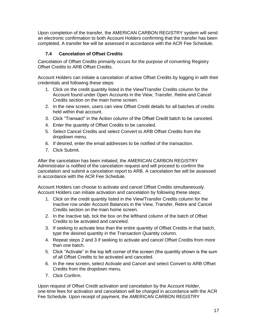Upon completion of the transfer, the AMERICAN CARBON REGISTRY system will send an electronic confirmation to both Account Holders confirming that the transfer has been completed. A transfer fee will be assessed in accordance with the ACR Fee Schedule.

#### <span id="page-16-0"></span>**7.4 Cancelation of Offset Credits**

Cancelation of Offset Credits primarily occurs for the purpose of converting Registry Offset Credits to ARB Offset Credits.

Account Holders can initiate a cancelation of active Offset Credits by logging in with their credentials and following these steps:

- 1. Click on the credit quantity listed in the View/Transfer Credits column for the Account found under Open Accounts in the View, Transfer, Retire and Cancel Credits section on the main home screen.
- 2. In the new screen, users can view Offset Credit details for all batches of credits held within that account.
- 3. Click "Transact" in the Action column of the Offset Credit batch to be canceled.
- 4. Enter the quantity of Offset Credits to be canceled.
- 5. Select Cancel Credits and select Convert to ARB Offset Credits from the dropdown menu.
- 6. If desired, enter the email addresses to be notified of the transaction.
- 7. Click Submit.

After the cancelation has been initiated, the AMERICAN CARBON REGISTRY Administrator is notified of the cancelation request and will proceed to confirm the cancelation and submit a cancelation report to ARB. A cancelation fee will be assessed in accordance with the ACR Fee Schedule.

Account Holders can choose to activate and cancel Offset Credits simultaneously. Account Holders can initiate activation and cancelation by following these steps:

- 1. Click on the credit quantity listed in the View/Transfer Credits column for the Inactive row under Account Balances in the View, Transfer, Retire and Cancel Credits section on the main home screen.
- 2. In the Inactive tab, tick the box on the lefthand column of the batch of Offset Credits to be activated and canceled.
- 3. If seeking to activate less than the entire quantity of Offset Credits in that batch, type the desired quantity in the Transaction Quantity column.
- 4. Repeat steps 2 and 3 if seeking to activate and cancel Offset Credits from more than one batch.
- 5. Click "Activate" in the top left corner of the screen (the quantity shown is the sum of all Offset Credits to be activated and canceled.
- 6. In the new screen, select Activate and Cancel and select Convert to ARB Offset Credits from the dropdown menu.
- 7. Click Confirm.

Upon request of Offset Credit activation and cancelation by the Account Holder, one-time fees for activation and cancelation will be charged in accordance with the ACR Fee Schedule. Upon receipt of payment, the AMERICAN CARBON REGISTRY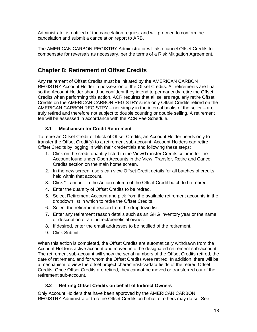Administrator is notified of the cancelation request and will proceed to confirm the cancelation and submit a cancelation report to ARB.

The AMERICAN CARBON REGISTRY Administrator will also cancel Offset Credits to compensate for reversals as necessary, per the terms of a Risk Mitigation Agreement.

# <span id="page-17-0"></span>**Chapter 8: Retirement of Offset Credits**

Any retirement of Offset Credits must be initiated by the AMERICAN CARBON REGISTRY Account Holder in possession of the Offset Credits. All retirements are final so the Account Holder should be confident they intend to permanently retire the Offset Credits when performing this action. ACR requires that all sellers regularly retire Offset Credits on the AMERICAN CARBON REGISTRY since only Offset Credits retired on the AMERICAN CARBON REGISTRY – not simply in the internal books of the seller – are truly retired and therefore not subject to double counting or double selling. A retirement fee will be assessed in accordance with the ACR Fee Schedule.

#### <span id="page-17-1"></span>**8.1 Mechanism for Credit Retirement**

To retire an Offset Credit or block of Offset Credits, an Account Holder needs only to transfer the Offset Credit(s) to a retirement sub-account. Account Holders can retire Offset Credits by logging in with their credentials and following these steps:

- 1. Click on the credit quantity listed in the View/Transfer Credits column for the Account found under Open Accounts in the View, Transfer, Retire and Cancel Credits section on the main home screen.
- 2. In the new screen, users can view Offset Credit details for all batches of credits held within that account.
- 3. Click "Transact" in the Action column of the Offset Credit batch to be retired.
- 4. Enter the quantity of Offset Credits to be retired.
- 5. Select Retirement Account and pick from the available retirement accounts in the dropdown list in which to retire the Offset Credits.
- 6. Select the retirement reason from the dropdown list.
- 7. Enter any retirement reason details such as an GHG inventory year or the name or description of an indirect/beneficial owner.
- 8. If desired, enter the email addresses to be notified of the retirement.
- 9. Click Submit.

When this action is completed, the Offset Credits are automatically withdrawn from the Account Holder's active account and moved into the designated retirement sub-account. The retirement sub-account will show the serial numbers of the Offset Credits retired, the date of retirement, and for whom the Offset Credits were retired. In addition, there will be a mechanism to view the offset project characteristics/data fields of the retired Offset Credits. Once Offset Credits are retired, they cannot be moved or transferred out of the retirement sub-account.

#### <span id="page-17-2"></span>**8.2 Retiring Offset Credits on behalf of Indirect Owners**

Only Account Holders that have been approved by the AMERICAN CARBON REGISTRY Administrator to retire Offset Credits on behalf of others may do so. See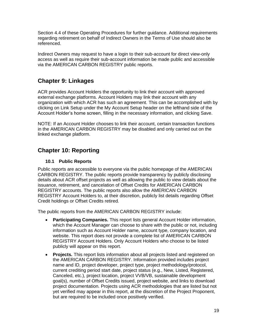[Section 4.4](#page-8-0) of these Operating Procedures for further guidance. Additional requirements regarding retirement on behalf of Indirect Owners in the Terms of Use should also be referenced.

Indirect Owners may request to have a login to their sub-account for direct view-only access as well as require their sub-account information be made public and accessible via the AMERICAN CARBON REGISTRY public reports.

# <span id="page-18-0"></span>**Chapter 9: Linkages**

ACR provides Account Holders the opportunity to link their account with approved external exchange platforms. Account Holders may link their account with any organization with which ACR has such an agreement. This can be accomplished with by clicking on Link Setup under the My Account Setup header on the lefthand side of the Account Holder's home screen, filling in the necessary information, and clicking Save.

NOTE: If an Account Holder chooses to link their account, certain transaction functions in the AMERICAN CARBON REGISTRY may be disabled and only carried out on the linked exchange platform.

# <span id="page-18-1"></span>**Chapter 10: Reporting**

#### **10.1 Public Reports**

<span id="page-18-2"></span>Public reports are accessible to everyone via the public homepage of the AMERICAN CARBON REGISTRY. The public reports provide transparency by publicly disclosing details about ACR offset projects as well as allowing the public to view details about the issuance, retirement, and cancelation of Offset Credits for AMERICAN CARBON REGISTRY accounts. The public reports also allow the AMERICAN CARBON REGISTRY Account Holders to, at their discretion, publicly list details regarding Offset Credit holdings or Offset Credits retired.

The public reports from the AMERICAN CARBON REGISTRY include:

- **Participating Companies.** This report lists general Account Holder information, which the Account Manager can choose to share with the public or not, including information such as Account Holder name, account type, company location, and website. This report does not provide a complete list of AMERICAN CARBON REGISTRY Account Holders. Only Account Holders who choose to be listed publicly will appear on this report.
- **Projects.** This report lists information about all projects listed and registered on the AMERICAN CARBON REGISTRY. Information provided includes project name and ID, project developer, project type, project methodology/protocol, current crediting period start date, project status (e.g., New, Listed, Registered, Canceled, etc.), project location, project VVB/VB, sustainable development goal(s), number of Offset Credits issued, project website, and links to download project documentation. Projects using ACR methodologies that are listed but not yet verified may appear in this report, at the discretion of the Project Proponent, but are required to be included once positively verified.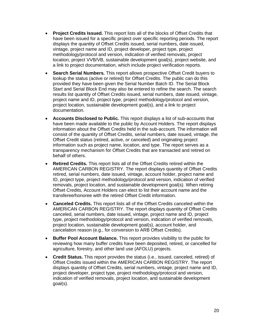- **Project Credits Issued.** This report lists all of the blocks of Offset Credits that have been issued for a specific project over specific reporting periods. The report displays the quantity of Offset Credits issued, serial numbers, date issued, vintage, project name and ID, project developer, project type, project methodology/protocol and version, indication of verified removals, project location, project VVB/VB, sustainable development goal(s), project website, and a link to project documentation, which include project verification reports.
- **Search Serial Numbers.** This report allows prospective Offset Credit buyers to lookup the status (active or retired) for Offset Credits. The public can do this provided they have been given the Serial Number Batch ID. The Serial Block Start and Serial Block End may also be entered to refine the search. The search results list quantity of Offset Credits issued, serial numbers, date issued, vintage, project name and ID, project type, project methodology/protocol and version, project location, sustainable development goal(s), and a link to project documentation.
- **Accounts Disclosed to Public.** This report displays a list of sub-accounts that have been made available to the public by Account Holders. The report displays information about the Offset Credits held in the sub-account. The information will consist of the quantity of Offset Credits, serial numbers, date issued, vintage, the Offset Credit status (retired, active, or canceled) and originating project information such as project name, location, and type. The report serves as a transparency mechanism for Offset Credits that are transacted and retired on behalf of others.
- **Retired Credits.** This report lists all of the Offset Credits retired within the AMERICAN CARBON REGISTRY. The report displays quantity of Offset Credits retired, serial numbers, date issued, vintage, account holder, project name and ID, project type, project methodology/protocol and version, indication of verified removals, project location, and sustainable development goal(s). When retiring Offset Credits, Account Holders can elect to list their account name and the transferee/honoree with the retired Offset Credit information.
- **Canceled Credits.** This report lists all of the Offset Credits canceled within the AMERICAN CARBON REGISTRY. The report displays quantity of Offset Credits canceled, serial numbers, date issued, vintage, project name and ID, project type, project methodology/protocol and version, indication of verified removals, project location, sustainable development goal(s), account holder, and cancelation reason (e.g., for conversion to ARB Offset Credits).
- **Buffer Pool Account Balance.** This report provides visibility to the public for reviewing how many buffer credits have been deposited, retired, or cancelled for agriculture, forestry, and other land use (AFOLU) projects.
- **Credit Status.** This report provides the status (i.e., issued, canceled, retired) of Offset Credits issued within the AMERICAN CARBON REGISTRY. The report displays quantity of Offset Credits, serial numbers, vintage, project name and ID, project developer, project type, project methodology/protocol and version, indication of verified removals, project location, and sustainable development goal(s).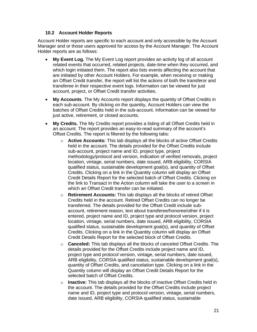#### **10.2 Account Holder Reports**

<span id="page-20-0"></span>Account Holder reports are specific to each account and only accessible by the Account Manager and or those users approved for access by the Account Manager. The Account Holder reports are as follows:

- **My Event Log.** The My Event Log report provides an activity log of all account related events that occurred, related projects, date-time when they occurred, and which login initiated them. The report also lists events affecting the account that are initiated by other Account Holders. For example, when receiving or making an Offset Credit transfer, the report will list the actions of both the transferor and transferee in their respective event logs. Information can be viewed for just account, project, or Offset Credit transfer activities.
- **My Accounts**. The My Accounts report displays the quantity of Offset Credits in each sub-account. By clicking on the quantity, Account Holders can view the batches of Offset Credits held in the sub-account. Information can be viewed for just active, retirement, or closed accounts.
- **My Credits.** The My Credits report provides a listing of all Offset Credits held in an account. The report provides an easy-to-read summary of the account's Offset Credits. The report is filtered by the following tabs:
	- o **Active Accounts:** This tab displays all the blocks of active Offset Credits held in the account. The details provided for the Offset Credits include sub-account, project name and ID, project type, project methodology/protocol and version, indication of verified removals, project location, vintage, serial numbers, date issued, ARB eligibility, CORSIA qualified status, sustainable development goal(s), and quantity of Offset Credits. Clicking on a link in the Quantity column will display an Offset Credit Details Report for the selected batch of Offset Credits. Clicking on the link to Transact in the Action column will take the user to a screen in which an Offset Credit transfer can be initiated.
	- o **Retirement Accounts:** This tab displays all the blocks of retired Offset Credits held in the account. Retired Offset Credits can no longer be transferred. The details provided for the Offset Credit include subaccount, retirement reason, text about transferee/honoree/other if it is entered, project name and ID, project type and protocol version, project location, vintage, serial numbers, date issued, ARB eligibility, CORSIA qualified status, sustainable development goal(s), and quantity of Offset Credits. Clicking on a link in the Quantity column will display an Offset Credit Details Report for the selected block of Offset Credits.
	- o **Canceled:** This tab displays all the blocks of canceled Offset Credits. The details provided for the Offset Credits include project name and ID, project type and protocol version, vintage, serial numbers, date issued, ARB eligibility, CORSIA qualified status, sustainable development goal(s), quantity of Offset Credits, and cancelation type. Clicking on a link in the Quantity column will display an Offset Credit Details Report for the selected batch of Offset Credits.
	- o **Inactive:** This tab displays all the blocks of inactive Offset Credits held in the account. The details provided for the Offset Credits include project name and ID, project type and protocol version, vintage, serial numbers, date issued, ARB eligibility, CORSIA qualified status, sustainable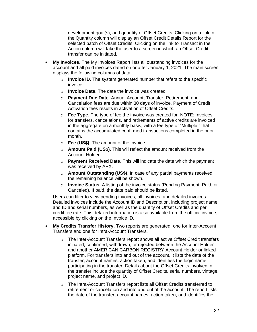development goal(s), and quantity of Offset Credits. Clicking on a link in the Quantity column will display an Offset Credit Details Report for the selected batch of Offset Credits. Clicking on the link to Transact in the Action column will take the user to a screen in which an Offset Credit transfer can be initiated.

- **My Invoices**. The My Invoices Report lists all outstanding invoices for the account and all paid invoices dated on or after January 1, 2021. The main screen displays the following columns of data:
	- o **Invoice ID**. The system generated number that refers to the specific invoice.
	- o **Invoice Date**. The date the invoice was created.
	- o **Payment Due Date**. Annual Account, Transfer, Retirement, and Cancelation fees are due within 30 days of invoice. Payment of Credit Activation fees results in activation of Offset Credits.
	- o **Fee Type**. The type of fee the invoice was created for. NOTE: Invoices for transfers, cancelations, and retirements of active credits are invoiced in the aggregate on a monthly basis, with a fee type of "Multiple," that contains the accumulated confirmed transactions completed in the prior month.
	- o **Fee (US\$)**. The amount of the invoice.
	- o **Amount Paid (US\$)**. This will reflect the amount received from the Account Holder.
	- o **Payment Received Date**. This will indicate the date which the payment was received by APX.
	- o **Amount Outstanding (US\$)**. In case of any partial payments received, the remaining balance will be shown.
	- o **Invoice Status**. A listing of the invoice status (Pending Payment, Paid, or Canceled). If paid, the date paid should be listed.

Users can filter to view pending invoices, all invoices, and detailed invoices. Detailed invoices include the Account ID and Description, including project name and ID and serial numbers, as well as the quantity of Offset Credits and per credit fee rate. This detailed information is also available from the official invoice, accessible by clicking on the Invoice ID.

- **My Credits Transfer History.** Two reports are generated: one for Inter-Account Transfers and one for Intra-Account Transfers.
	- o The Inter-Account Transfers report shows all active Offset Credit transfers initiated, confirmed, withdrawn, or rejected between the Account Holder and another AMERICAN CARBON REGISTRY Account Holder or linked platform. For transfers into and out of the account, it lists the date of the transfer, account names, action taken, and identifies the login name participating in the transfer. Details about the Offset Credits involved in the transfer include the quantity of Offset Credits, serial numbers, vintage, project name, and project ID.
	- o The Intra-Account Transfers report lists all Offset Credits transferred to retirement or cancelation and into and out of the account. The report lists the date of the transfer, account names, action taken, and identifies the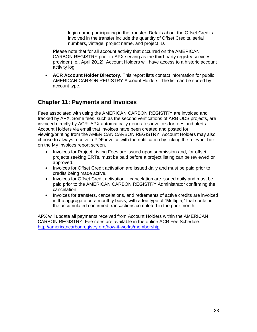login name participating in the transfer. Details about the Offset Credits involved in the transfer include the quantity of Offset Credits, serial numbers, vintage, project name, and project ID.

Please note that for all account activity that occurred on the AMERICAN CARBON REGISTRY prior to APX serving as the third-party registry services provider (i.e., April 2012), Account Holders will have access to a historic account activity log.

• **ACR Account Holder Directory.** This report lists contact information for public AMERICAN CARBON REGISTRY Account Holders. The list can be sorted by account type.

### <span id="page-22-0"></span>**Chapter 11: Payments and Invoices**

Fees associated with using the AMERICAN CARBON REGISTRY are invoiced and tracked by APX. Some fees, such as the second verifications of ARB ODS projects, are invoiced directly by ACR. APX automatically generates invoices for fees and alerts Account Holders via email that invoices have been created and posted for viewing/printing from the AMERICAN CARBON REGISTRY. Account Holders may also choose to always receive a PDF invoice with the notification by ticking the relevant box on the My Invoices report screen.

- Invoices for Project Listing Fees are issued upon submission and, for offset projects seeking ERTs, must be paid before a project listing can be reviewed or approved.
- Invoices for Offset Credit activation are issued daily and must be paid prior to credits being made active.
- Invoices for Offset Credit activation + cancelation are issued daily and must be paid prior to the AMERICAN CARBON REGISTRY Administrator confirming the cancelation.
- Invoices for transfers, cancelations, and retirements of active credits are invoiced in the aggregate on a monthly basis, with a fee type of "Multiple," that contains the accumulated confirmed transactions completed in the prior month.

APX will update all payments received from Account Holders within the AMERICAN CARBON REGISTRY. Fee rates are available in the online ACR Fee Schedule: [http://americancarbonregistry.org/how-it-works/membership.](http://americancarbonregistry.org/how-it-works/membership)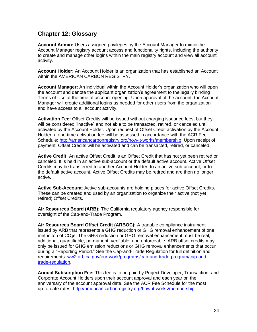### <span id="page-23-0"></span>**Chapter 12: Glossary**

**Account Admin:** Users assigned privileges by the Account Manager to mimic the Account Manager registry account access and functionality rights, including the authority to create and manage other logins within the main registry account and view all account activity.

**Account Holder:** An Account Holder is an organization that has established an Account within the AMERICAN CARBON REGISTRY.

**Account Manager:** An individual within the Account Holder's organization who will open the account and denote the applicant organization's agreement to the legally binding Terms of Use at the time of account opening. Upon approval of the account, the Account Manager will create additional logins as needed for other users from the organization and have access to all account activity.

**Activation Fee:** Offset Credits will be issued without charging issuance fees, but they will be considered "inactive" and not able to be transacted, retired, or canceled until activated by the Account Holder. Upon request of Offset Credit activation by the Account Holder, a one-time activation fee will be assessed in accordance with the ACR Fee Schedule: [http://americancarbonregistry.org/how-it-works/membership.](http://americancarbonregistry.org/how-it-works/membership) Upon receipt of payment, Offset Credits will be activated and can be transacted, retired, or canceled.

**Active Credit:** An active Offset Credit is an Offset Credit that has not yet been retired or canceled. It is held in an active sub-account or the default active account. Active Offset Credits may be transferred to another Account Holder, to an active sub-account, or to the default active account. Active Offset Credits may be retired and are then no longer active.

**Active Sub-Account**: Active sub-accounts are holding places for active Offset Credits. These can be created and used by an organization to organize their active (not yet retired) Offset Credits.

**Air Resources Board (ARB):** The California regulatory agency responsible for oversight of the Cap-and-Trade Program.

**Air Resources Board Offset Credit (ARBOC):** A tradable compliance instrument issued by ARB that represents a GHG reduction or GHG removal enhancement of one metric ton of CO<sub>2</sub>e. The GHG reduction or GHG removal enhancement must be real, additional, quantifiable, permanent, verifiable, and enforceable. ARB offset credits may only be issued for GHG emission reductions or GHG removal enhancements that occur during a "Reporting Period." See the Cap-and-Trade Regulation for full definition and requirements: [ww2.arb.ca.gov/our-work/programs/cap-and-trade-program/cap-and](https://ww2.arb.ca.gov/our-work/programs/cap-and-trade-program/cap-and-trade-regulation)[trade-regulation.](https://ww2.arb.ca.gov/our-work/programs/cap-and-trade-program/cap-and-trade-regulation)

**Annual Subscription Fee:** This fee is to be paid by Project Developer, Transaction, and Corporate Account Holders upon their account approval and each year on the anniversary of the account approval date. See the ACR Fee Schedule for the most up-to-date rates: [http://americancarbonregistry.org/how-it-works/membership.](http://americancarbonregistry.org/how-it-works/membership)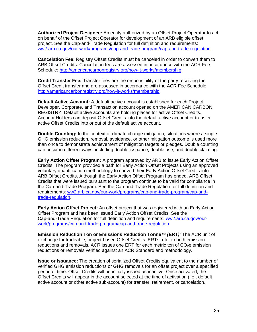**Authorized Project Designee:** An entity authorized by an Offset Project Operator to act on behalf of the Offset Project Operator for development of an ARB eligible offset project. See the Cap-and-Trade Regulation for full definition and requirements: [ww2.arb.ca.gov/our-work/programs/cap-and-trade-program/cap-and-trade-regulation.](https://ww2.arb.ca.gov/our-work/programs/cap-and-trade-program/cap-and-trade-regulation)

**Cancelation Fee:** Registry Offset Credits must be canceled in order to convert them to ARB Offset Credits. Cancelation fees are assessed in accordance with the ACR Fee Schedule: [http://americancarbonregistry.org/how-it-works/membership.](http://americancarbonregistry.org/how-it-works/membership)

**Credit Transfer Fee:** Transfer fees are the responsibility of the party receiving the Offset Credit transfer and are assessed in accordance with the ACR Fee Schedule: [http://americancarbonregistry.org/how-it-works/membership.](http://americancarbonregistry.org/how-it-works/membership)

**Default Active Account:** A default active account is established for each Project Developer, Corporate, and Transaction account opened on the AMERICAN CARBON REGISTRY. Default active accounts are holding places for active Offset Credits. Account Holders can deposit Offset Credits into the default active account or transfer active Offset Credits into or out of the default active account.

**Double Counting:** In the context of climate change mitigation, situations where a single GHG emission reduction, removal, avoidance, or other mitigation outcome is used more than once to demonstrate achievement of mitigation targets or pledges. Double counting can occur in different ways, including double issuance, double use, and double claiming.

**Early Action Offset Program:** A program approved by ARB to issue Early Action Offset Credits. The program provided a path for Early Action Offset Projects using an approved voluntary quantification methodology to convert their Early Action Offset Credits into ARB Offset Credits. Although the Early Action Offset Program has ended, ARB Offset Credits that were issued pursuant to the program continue to be valid for compliance in the Cap-and-Trade Program. See the Cap-and-Trade Regulation for full definition and requirements: [ww2.arb.ca.gov/our-work/programs/cap-and-trade-program/cap-and](https://ww2.arb.ca.gov/our-work/programs/cap-and-trade-program/cap-and-trade-regulation)[trade-regulation.](https://ww2.arb.ca.gov/our-work/programs/cap-and-trade-program/cap-and-trade-regulation)

**Early Action Offset Project:** An offset project that was registered with an Early Action Offset Program and has been issued Early Action Offset Credits. See the Cap-and-Trade Regulation for full definition and requirements: [ww2.arb.ca.gov/our](https://ww2.arb.ca.gov/our-work/programs/cap-and-trade-program/cap-and-trade-regulation)[work/programs/cap-and-trade-program/cap-and-trade-regulation.](https://ww2.arb.ca.gov/our-work/programs/cap-and-trade-program/cap-and-trade-regulation)

**Emission Reduction Ton or Emissions Reduction Tonne***™ (***ERT***):* The ACR unit of exchange for tradeable, project-based Offset Credits. ERTs refer to both emission reductions and removals. ACR issues one ERT for each metric ton of  $CO<sub>2</sub>e$  emission reductions or removals verified against an ACR Standard and methodology.

**Issue or Issuance:** The creation of serialized Offset Credits equivalent to the number of verified GHG emission reductions or GHG removals for an offset project over a specified period of time. Offset Credits will be initially issued as inactive. Once activated, the Offset Credits will appear in the account selected at the time of activation (i.e., default active account or other active sub-account) for transfer, retirement, or cancelation.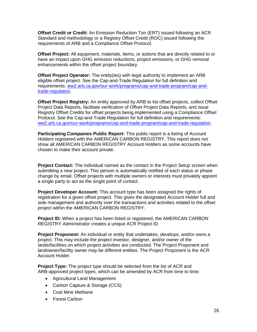**Offset Credit or Credit:** An Emission Reduction Ton (ERT) issued following an ACR Standard and methodology or a Registry Offset Credit (ROC) issued following the requirements of ARB and a Compliance Offset Protocol.

**Offset Project:** All equipment, materials, items, or actions that are directly related to or have an impact upon GHG emission reductions, project emissions, or GHG removal enhancements within the offset project boundary.

**Offset Project Operator:** The entity(ies) with legal authority to implement an ARB eligible offset project. See the Cap-and-Trade Regulation for full definition and requirements: [ww2.arb.ca.gov/our-work/programs/cap-and-trade-program/cap-and](https://ww2.arb.ca.gov/our-work/programs/cap-and-trade-program/cap-and-trade-regulation)[trade-regulation.](https://ww2.arb.ca.gov/our-work/programs/cap-and-trade-program/cap-and-trade-regulation)

**Offset Project Registry:** An entity approved by ARB to list offset projects, collect Offset Project Data Reports, facilitate verification of Offset Project Data Reports, and issue Registry Offset Credits for offset projects being implemented using a Compliance Offset Protocol. See the Cap-and-Trade Regulation for full definition and requirements: [ww2.arb.ca.gov/our-work/programs/cap-and-trade-program/cap-and-trade-regulation.](https://ww2.arb.ca.gov/our-work/programs/cap-and-trade-program/cap-and-trade-regulation)

**Participating Companies Public Report:** This public report is a listing of Account Holders registered with the AMERICAN CARBON REGISTRY. This report does not show all AMERICAN CARBON REGISTRY Account Holders as some accounts have chosen to make their account private.

**Project Contact:** The individual named as the contact in the Project Setup screen when submitting a new project. This person is automatically notified of each status or phase change by email. Offset projects with multiple owners or interests must privately appoint a single party to act as the single point of contact.

**Project Developer Account:** This account type has been assigned the rights of registration for a given offset project. This gives the designated Account Holder full and sole management and authority over the transactions and activities related to the offset project within the AMERICAN CARBON REGISTRY.

**Project ID:** When a project has been listed or registered, the AMERICAN CARBON REGISTRY Administrator creates a unique ACR Project ID.

**Project Proponent:** An individual or entity that undertakes, develops, and/or owns a project. This may include the project investor, designer, and/or owner of the lands/facilities on which project activities are conducted. The Project Proponent and landowner/facility owner may be different entities. The Project Proponent is the ACR Account Holder.

**Project Type:** The project type should be selected from the list of ACR and ARB-approved project types, which can be amended by ACR from time to time:

- Agricultural Land Management
- Carbon Capture & Storage (CCS)
- Coal Mine Methane
- Forest Carbon